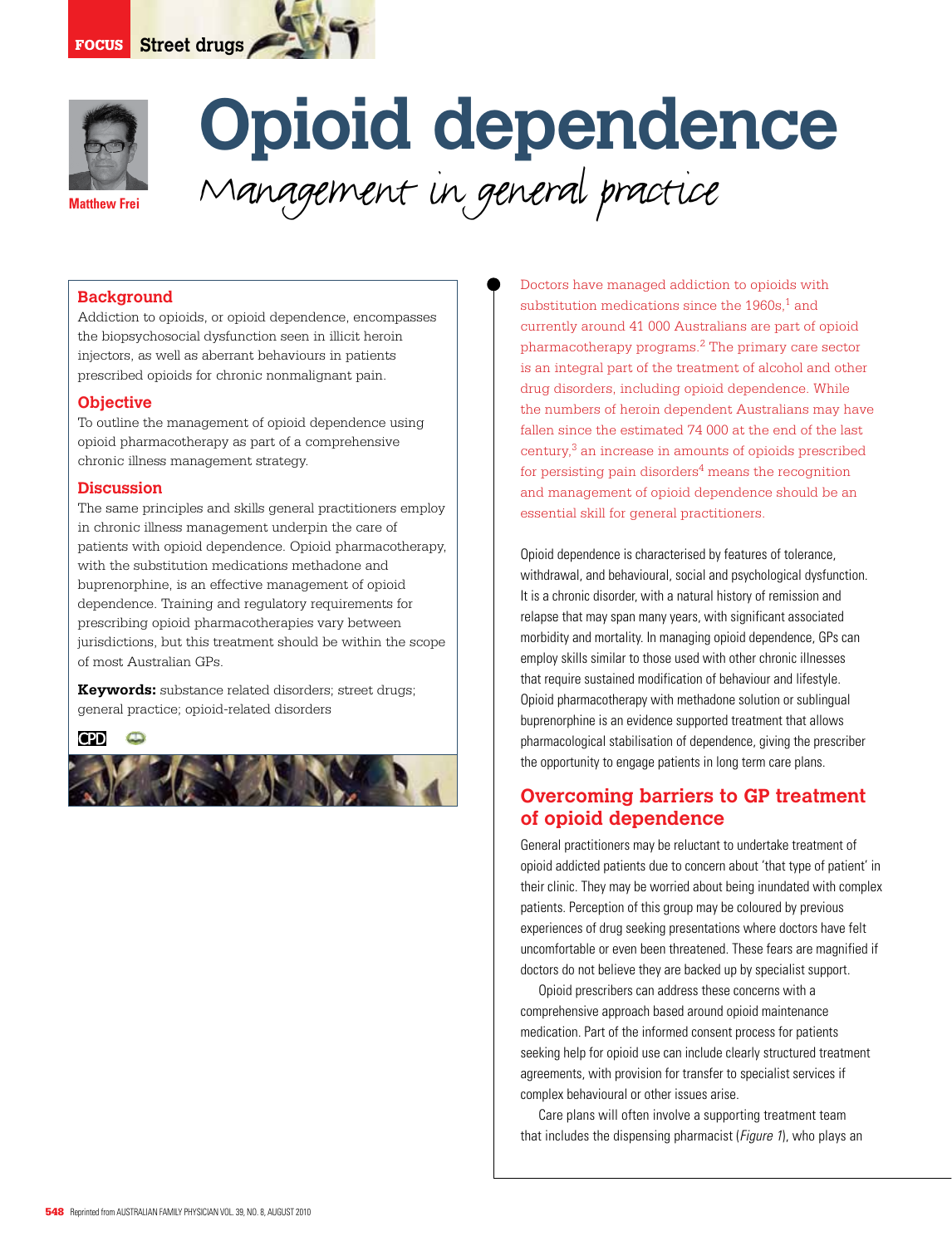



# **Opioid dependence** Management in general practice

## **Background**

Addiction to opioids, or opioid dependence, encompasses the biopsychosocial dysfunction seen in illicit heroin injectors, as well as aberrant behaviours in patients prescribed opioids for chronic nonmalignant pain.

#### **Objective**

To outline the management of opioid dependence using opioid pharmacotherapy as part of a comprehensive chronic illness management strategy.

#### **Discussion**

The same principles and skills general practitioners employ in chronic illness management underpin the care of patients with opioid dependence. Opioid pharmacotherapy, with the substitution medications methadone and buprenorphine, is an effective management of opioid dependence. Training and regulatory requirements for prescribing opioid pharmacotherapies vary between jurisdictions, but this treatment should be within the scope of most Australian GPs.

**Keywords:** substance related disorders; street drugs; general practice; opioid-related disorders

**CPD**  $\Box$ 



Doctors have managed addiction to opioids with substitution medications since the  $1960s$ ,<sup>1</sup> and currently around 41 000 Australians are part of opioid pharmacotherapy programs.2 The primary care sector is an integral part of the treatment of alcohol and other drug disorders, including opioid dependence. While the numbers of heroin dependent Australians may have fallen since the estimated 74 000 at the end of the last century,3 an increase in amounts of opioids prescribed for persisting pain disorders $4$  means the recognition and management of opioid dependence should be an essential skill for general practitioners.

Opioid dependence is characterised by features of tolerance, withdrawal, and behavioural, social and psychological dysfunction. It is a chronic disorder, with a natural history of remission and relapse that may span many years, with significant associated morbidity and mortality. In managing opioid dependence, GPs can employ skills similar to those used with other chronic illnesses that require sustained modification of behaviour and lifestyle. Opioid pharmacotherapy with methadone solution or sublingual buprenorphine is an evidence supported treatment that allows pharmacological stabilisation of dependence, giving the prescriber the opportunity to engage patients in long term care plans.

# **Overcoming barriers to GP treatment of opioid dependence**

General practitioners may be reluctant to undertake treatment of opioid addicted patients due to concern about 'that type of patient' in their clinic. They may be worried about being inundated with complex patients. Perception of this group may be coloured by previous experiences of drug seeking presentations where doctors have felt uncomfortable or even been threatened. These fears are magnified if doctors do not believe they are backed up by specialist support.

 Opioid prescribers can address these concerns with a comprehensive approach based around opioid maintenance medication. Part of the informed consent process for patients seeking help for opioid use can include clearly structured treatment agreements, with provision for transfer to specialist services if complex behavioural or other issues arise.

 Care plans will often involve a supporting treatment team that includes the dispensing pharmacist (Figure 1), who plays an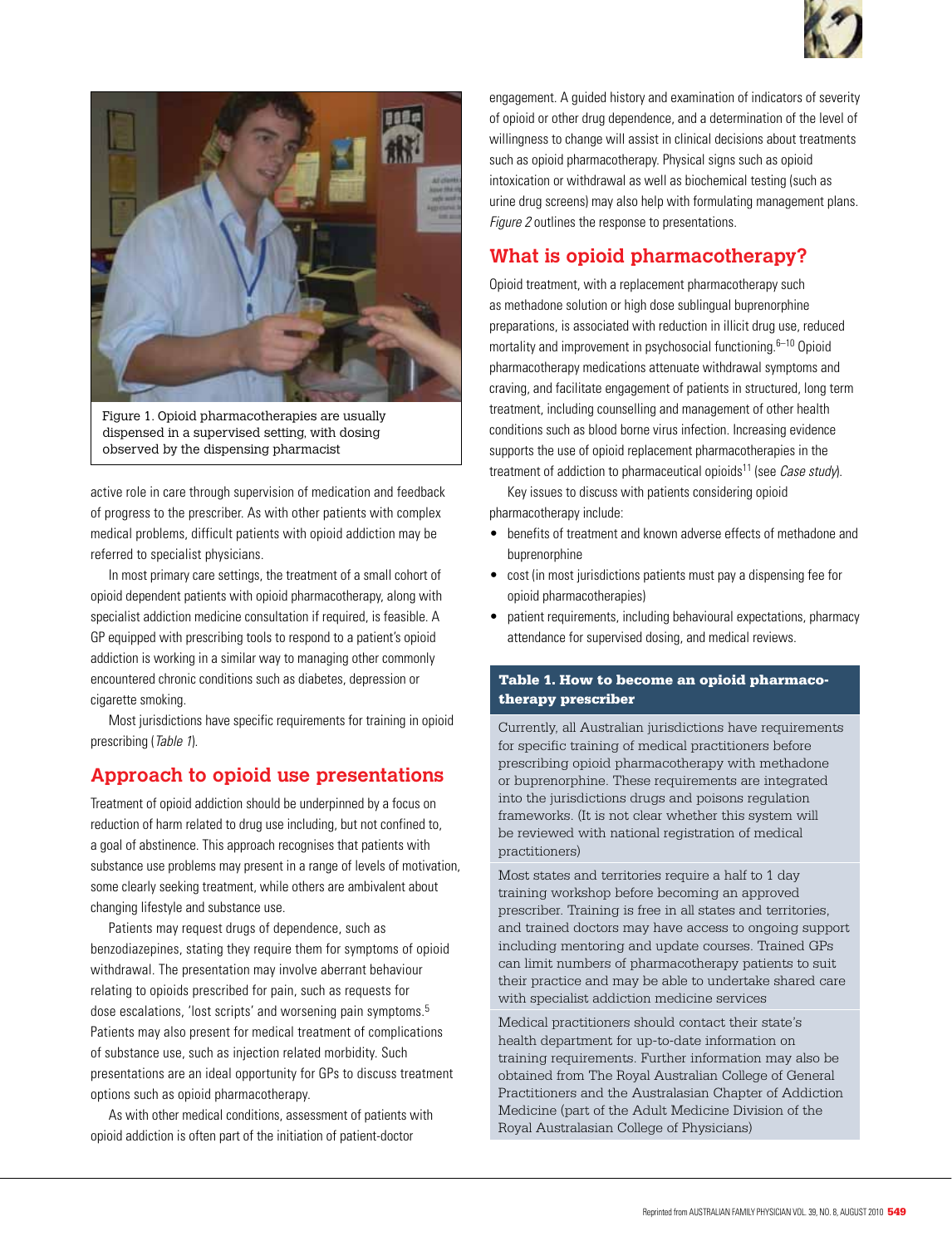



Figure 1. Opioid pharmacotherapies are usually dispensed in a supervised setting, with dosing observed by the dispensing pharmacist

active role in care through supervision of medication and feedback of progress to the prescriber. As with other patients with complex medical problems, difficult patients with opioid addiction may be referred to specialist physicians.

 In most primary care settings, the treatment of a small cohort of opioid dependent patients with opioid pharmacotherapy, along with specialist addiction medicine consultation if required, is feasible. A GP equipped with prescribing tools to respond to a patient's opioid addiction is working in a similar way to managing other commonly encountered chronic conditions such as diabetes, depression or cigarette smoking.

 Most jurisdictions have specific requirements for training in opioid prescribing (Table 1).

# **Approach to opioid use presentations**

Treatment of opioid addiction should be underpinned by a focus on reduction of harm related to drug use including, but not confined to, a goal of abstinence. This approach recognises that patients with substance use problems may present in a range of levels of motivation, some clearly seeking treatment, while others are ambivalent about changing lifestyle and substance use.

Patients may request drugs of dependence, such as benzodiazepines, stating they require them for symptoms of opioid withdrawal. The presentation may involve aberrant behaviour relating to opioids prescribed for pain, such as requests for dose escalations, 'lost scripts' and worsening pain symptoms.<sup>5</sup> Patients may also present for medical treatment of complications of substance use, such as injection related morbidity. Such presentations are an ideal opportunity for GPs to discuss treatment options such as opioid pharmacotherapy.

As with other medical conditions, assessment of patients with opioid addiction is often part of the initiation of patient-doctor

engagement. A guided history and examination of indicators of severity of opioid or other drug dependence, and a determination of the level of willingness to change will assist in clinical decisions about treatments such as opioid pharmacotherapy. Physical signs such as opioid intoxication or withdrawal as well as biochemical testing (such as urine drug screens) may also help with formulating management plans. Figure 2 outlines the response to presentations.

# **What is opioid pharmacotherapy?**

Opioid treatment, with a replacement pharmacotherapy such as methadone solution or high dose sublingual buprenorphine preparations, is associated with reduction in illicit drug use, reduced mortality and improvement in psychosocial functioning.<sup>6–10</sup> Opioid pharmacotherapy medications attenuate withdrawal symptoms and craving, and facilitate engagement of patients in structured, long term treatment, including counselling and management of other health conditions such as blood borne virus infection. Increasing evidence supports the use of opioid replacement pharmacotherapies in the treatment of addiction to pharmaceutical opioids<sup>11</sup> (see *Case study*).

Key issues to discuss with patients considering opioid pharmacotherapy include:

- benefits of treatment and known adverse effects of methadone and buprenorphine
- • cost (in most jurisdictions patients must pay a dispensing fee for opioid pharmacotherapies)
- patient requirements, including behavioural expectations, pharmacy attendance for supervised dosing, and medical reviews.

### Table 1. How to become an opioid pharmacotherapy prescriber

Currently, all Australian jurisdictions have requirements for specific training of medical practitioners before prescribing opioid pharmacotherapy with methadone or buprenorphine. These requirements are integrated into the jurisdictions drugs and poisons regulation frameworks. (It is not clear whether this system will be reviewed with national registration of medical practitioners)

Most states and territories require a half to 1 day training workshop before becoming an approved prescriber. Training is free in all states and territories, and trained doctors may have access to ongoing support including mentoring and update courses. Trained GPs can limit numbers of pharmacotherapy patients to suit their practice and may be able to undertake shared care with specialist addiction medicine services

Medical practitioners should contact their state's health department for up-to-date information on training requirements. Further information may also be obtained from The Royal Australian College of General Practitioners and the Australasian Chapter of Addiction Medicine (part of the Adult Medicine Division of the Royal Australasian College of Physicians)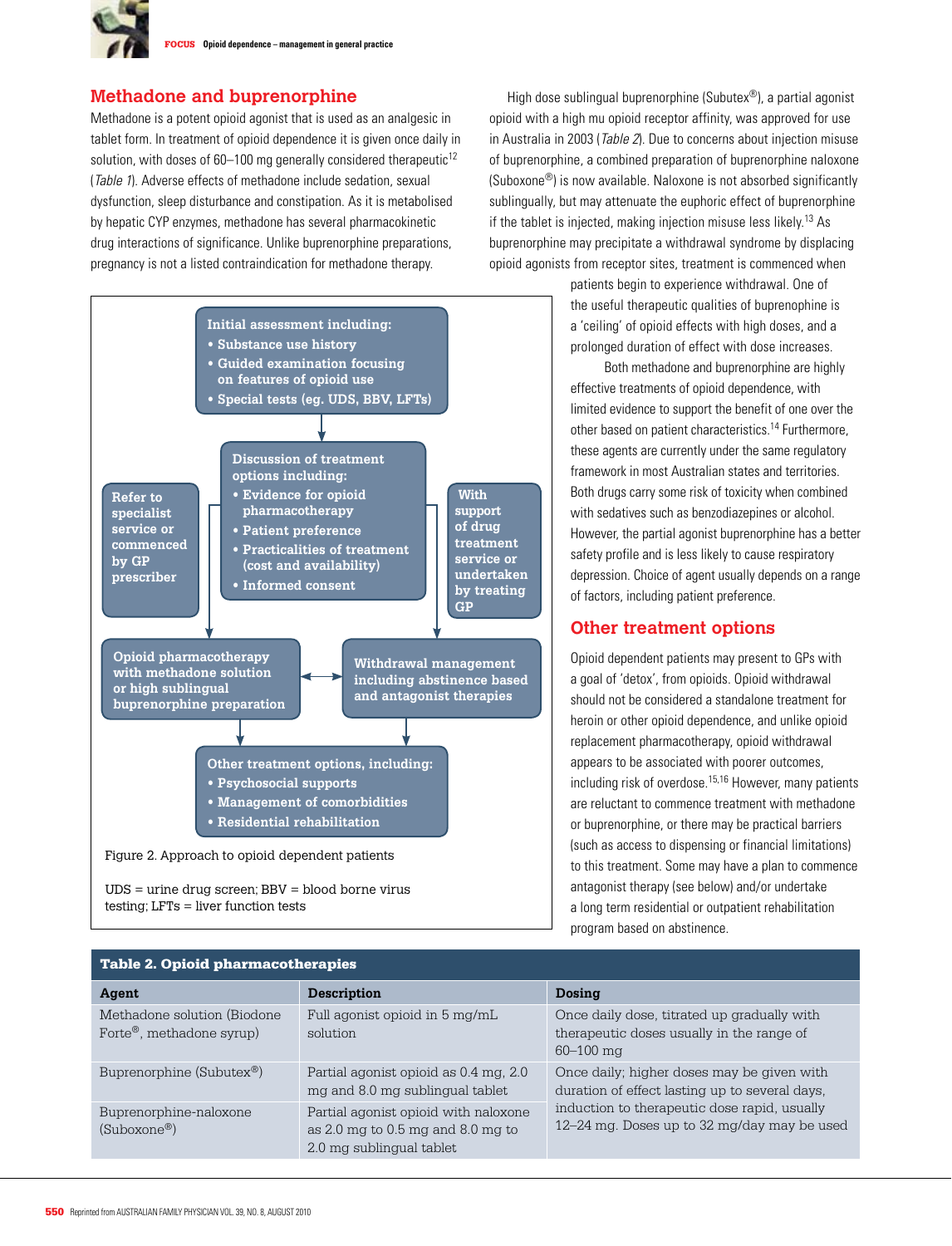# **Methadone and buprenorphine**

Methadone is a potent opioid agonist that is used as an analgesic in tablet form. In treatment of opioid dependence it is given once daily in solution, with doses of  $60-100$  mg generally considered therapeutic<sup>12</sup> (Table 1). Adverse effects of methadone include sedation, sexual dysfunction, sleep disturbance and constipation. As it is metabolised by hepatic CYP enzymes, methadone has several pharmacokinetic drug interactions of significance. Unlike buprenorphine preparations, pregnancy is not a listed contraindication for methadone therapy.



testing; LFTs = liver function tests

High dose sublingual buprenorphine (Subutex®), a partial agonist opioid with a high mu opioid receptor affinity, was approved for use in Australia in 2003 (*Table 2*). Due to concerns about injection misuse of buprenorphine, a combined preparation of buprenorphine naloxone (Suboxone®) is now available. Naloxone is not absorbed significantly sublingually, but may attenuate the euphoric effect of buprenorphine if the tablet is injected, making injection misuse less likely.13 As buprenorphine may precipitate a withdrawal syndrome by displacing opioid agonists from receptor sites, treatment is commenced when

> patients begin to experience withdrawal. One of the useful therapeutic qualities of buprenophine is a 'ceiling' of opioid effects with high doses, and a prolonged duration of effect with dose increases.

Both methadone and buprenorphine are highly effective treatments of opioid dependence, with limited evidence to support the benefit of one over the other based on patient characteristics.14 Furthermore, these agents are currently under the same regulatory framework in most Australian states and territories. Both drugs carry some risk of toxicity when combined with sedatives such as benzodiazepines or alcohol. However, the partial agonist buprenorphine has a better safety profile and is less likely to cause respiratory depression. Choice of agent usually depends on a range of factors, including patient preference.

## **Other treatment options**

Opioid dependent patients may present to GPs with a goal of 'detox', from opioids. Opioid withdrawal should not be considered a standalone treatment for heroin or other opioid dependence, and unlike opioid replacement pharmacotherapy, opioid withdrawal appears to be associated with poorer outcomes, including risk of overdose.15,16 However, many patients are reluctant to commence treatment with methadone or buprenorphine, or there may be practical barriers (such as access to dispensing or financial limitations) to this treatment. Some may have a plan to commence antagonist therapy (see below) and/or undertake a long term residential or outpatient rehabilitation program based on abstinence.

| <b>Table 2. Opioid pharmacotherapies</b>                              |                                                                                                                                     |                                                                                                                                                                                             |
|-----------------------------------------------------------------------|-------------------------------------------------------------------------------------------------------------------------------------|---------------------------------------------------------------------------------------------------------------------------------------------------------------------------------------------|
| Agent                                                                 | Description                                                                                                                         | Dosing                                                                                                                                                                                      |
| Methadone solution (Biodone)<br>Forte <sup>®</sup> , methadone syrup) | Full agonist opioid in 5 mg/mL<br>solution                                                                                          | Once daily dose, titrated up gradually with<br>therapeutic doses usually in the range of<br>$60 - 100$ mg                                                                                   |
| Buprenorphine (Subutex <sup>®</sup> )                                 | Partial agonist opioid as 0.4 mg, 2.0<br>mg and 8.0 mg sublingual tablet                                                            | Once daily; higher doses may be given with<br>duration of effect lasting up to several days,<br>induction to therapeutic dose rapid, usually<br>12-24 mg. Doses up to 32 mg/day may be used |
| Buprenorphine-naloxone<br>$(Suboxone^@)$                              | Partial agonist opioid with naloxone<br>as $2.0 \text{ mg}$ to $0.5 \text{ mg}$ and $8.0 \text{ mg}$ to<br>2.0 mg sublingual tablet |                                                                                                                                                                                             |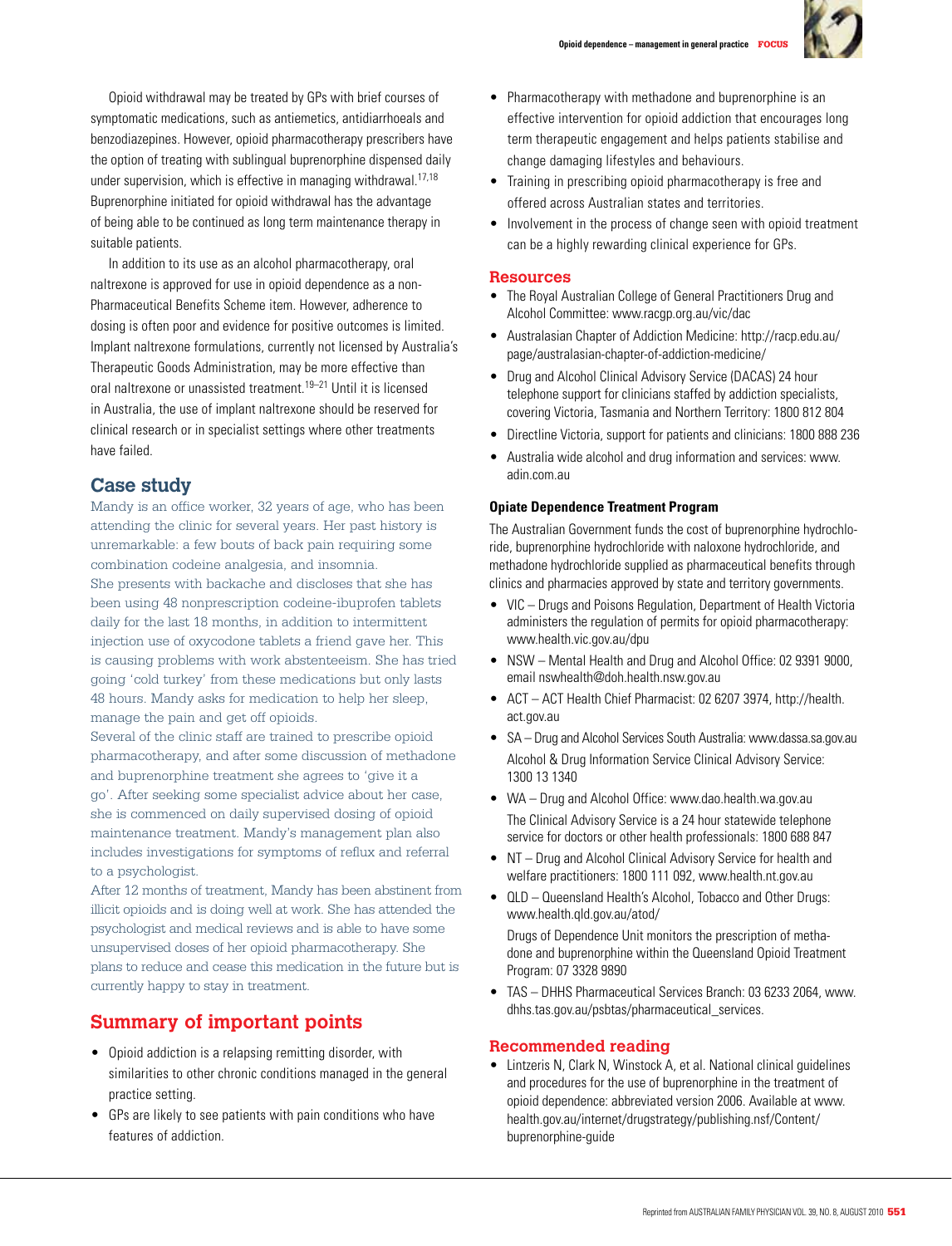

 Opioid withdrawal may be treated by GPs with brief courses of symptomatic medications, such as antiemetics, antidiarrhoeals and benzodiazepines. However, opioid pharmacotherapy prescribers have the option of treating with sublingual buprenorphine dispensed daily under supervision, which is effective in managing withdrawal.17,18 Buprenorphine initiated for opioid withdrawal has the advantage of being able to be continued as long term maintenance therapy in suitable patients.

 In addition to its use as an alcohol pharmacotherapy, oral naltrexone is approved for use in opioid dependence as a non-Pharmaceutical Benefits Scheme item. However, adherence to dosing is often poor and evidence for positive outcomes is limited. Implant naltrexone formulations, currently not licensed by Australia's Therapeutic Goods Administration, may be more effective than oral naltrexone or unassisted treatment.19–21 Until it is licensed in Australia, the use of implant naltrexone should be reserved for clinical research or in specialist settings where other treatments have failed.

# **Case study**

Mandy is an office worker, 32 years of age, who has been attending the clinic for several years. Her past history is unremarkable: a few bouts of back pain requiring some combination codeine analgesia, and insomnia. She presents with backache and discloses that she has been using 48 nonprescription codeine-ibuprofen tablets daily for the last 18 months, in addition to intermittent injection use of oxycodone tablets a friend gave her. This is causing problems with work abstenteeism. She has tried going 'cold turkey' from these medications but only lasts 48 hours. Mandy asks for medication to help her sleep, manage the pain and get off opioids.

Several of the clinic staff are trained to prescribe opioid pharmacotherapy, and after some discussion of methadone and buprenorphine treatment she agrees to 'give it a go'. After seeking some specialist advice about her case, she is commenced on daily supervised dosing of opioid maintenance treatment. Mandy's management plan also includes investigations for symptoms of reflux and referral to a psychologist.

After 12 months of treatment, Mandy has been abstinent from illicit opioids and is doing well at work. She has attended the psychologist and medical reviews and is able to have some unsupervised doses of her opioid pharmacotherapy. She plans to reduce and cease this medication in the future but is currently happy to stay in treatment.

# **Summary of important points**

- Opioid addiction is a relapsing remitting disorder, with similarities to other chronic conditions managed in the general practice setting.
- GPs are likely to see patients with pain conditions who have features of addiction.
- Pharmacotherapy with methadone and buprenorphine is an effective intervention for opioid addiction that encourages long term therapeutic engagement and helps patients stabilise and change damaging lifestyles and behaviours.
- Training in prescribing opioid pharmacotherapy is free and offered across Australian states and territories.
- Involvement in the process of change seen with opioid treatment can be a highly rewarding clinical experience for GPs.

## **Resources**

- The Royal Australian College of General Practitioners Drug and Alcohol Committee: www.racgp.org.au/vic/dac
- • Australasian Chapter of Addiction Medicine: http://racp.edu.au/ page/australasian-chapter-of-addiction-medicine/
- Drug and Alcohol Clinical Advisory Service (DACAS) 24 hour telephone support for clinicians staffed by addiction specialists, covering Victoria, Tasmania and Northern Territory: 1800 812 804
- Directline Victoria, support for patients and clinicians: 1800 888 236
- Australia wide alcohol and drug information and services: www. adin.com.au

#### **Opiate Dependence Treatment Program**

The Australian Government funds the cost of buprenorphine hydrochloride, buprenorphine hydrochloride with naloxone hydrochloride, and methadone hydrochloride supplied as pharmaceutical benefits through clinics and pharmacies approved by state and territory governments.

- VIC Drugs and Poisons Regulation, Department of Health Victoria administers the regulation of permits for opioid pharmacotherapy: www.health.vic.gov.au/dpu
- NSW Mental Health and Drug and Alcohol Office: 02 9391 9000, email nswhealth@doh.health.nsw.gov.au
- ACT ACT Health Chief Pharmacist: 02 6207 3974, http://health. act.gov.au
- SA Drug and Alcohol Services South Australia: www.dassa.sa.gov.au Alcohol & Drug Information Service Clinical Advisory Service: 1300 13 1340
- • WA Drug and Alcohol Office: www.dao.health.wa.gov.au The Clinical Advisory Service is a 24 hour statewide telephone service for doctors or other health professionals: 1800 688 847
- NT Drug and Alcohol Clinical Advisory Service for health and welfare practitioners: 1800 111 092, www.health.nt.gov.au
- $QLD Queensland Health's Alcohol, Tobacco and Other Drugs:$ www.health.qld.gov.au/atod/

 Drugs of Dependence Unit monitors the prescription of methadone and buprenorphine within the Queensland Opioid Treatment Program: 07 3328 9890

• TAS - DHHS Pharmaceutical Services Branch: 03 6233 2064, www. dhhs.tas.gov.au/psbtas/pharmaceutical\_services.

## **Recommended reading**

• Lintzeris N, Clark N, Winstock A, et al. National clinical guidelines and procedures for the use of buprenorphine in the treatment of opioid dependence: abbreviated version 2006. Available at www. health.gov.au/internet/drugstrategy/publishing.nsf/Content/ buprenorphine-guide